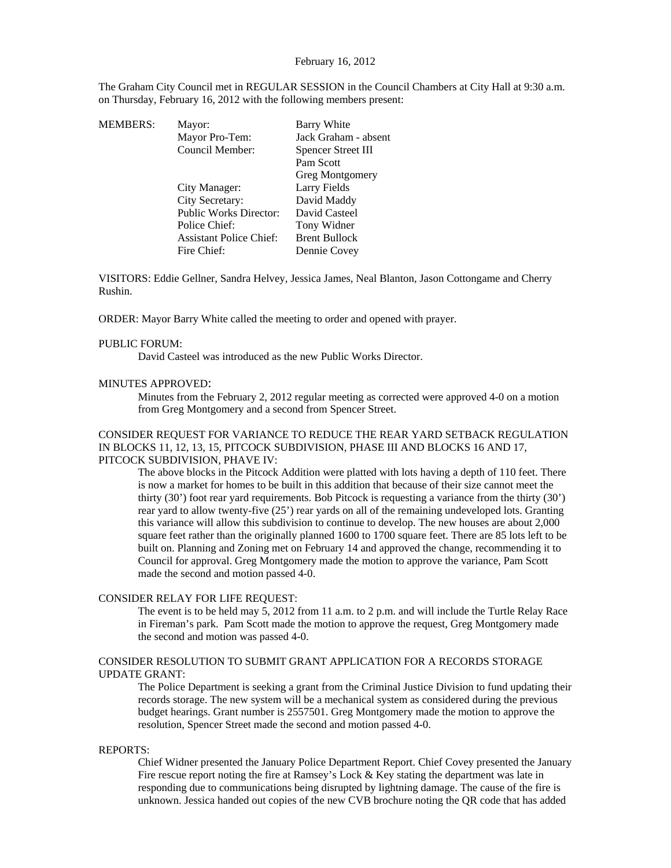The Graham City Council met in REGULAR SESSION in the Council Chambers at City Hall at 9:30 a.m. on Thursday, February 16, 2012 with the following members present:

| <b>MEMBERS:</b> | Mayor:                         | Barry White          |
|-----------------|--------------------------------|----------------------|
|                 | Mayor Pro-Tem:                 | Jack Graham - absent |
|                 | Council Member:                | Spencer Street III   |
|                 |                                | Pam Scott            |
|                 |                                | Greg Montgomery      |
|                 | City Manager:                  | Larry Fields         |
|                 | City Secretary:                | David Maddy          |
|                 | <b>Public Works Director:</b>  | David Casteel        |
|                 | Police Chief:                  | Tony Widner          |
|                 | <b>Assistant Police Chief:</b> | <b>Brent Bullock</b> |
|                 | Fire Chief:                    | Dennie Covey         |
|                 |                                |                      |

VISITORS: Eddie Gellner, Sandra Helvey, Jessica James, Neal Blanton, Jason Cottongame and Cherry Rushin.

ORDER: Mayor Barry White called the meeting to order and opened with prayer.

#### PUBLIC FORUM:

David Casteel was introduced as the new Public Works Director.

### MINUTES APPROVED:

Minutes from the February 2, 2012 regular meeting as corrected were approved 4-0 on a motion from Greg Montgomery and a second from Spencer Street.

# CONSIDER REQUEST FOR VARIANCE TO REDUCE THE REAR YARD SETBACK REGULATION IN BLOCKS 11, 12, 13, 15, PITCOCK SUBDIVISION, PHASE III AND BLOCKS 16 AND 17, PITCOCK SUBDIVISION, PHAVE IV:

The above blocks in the Pitcock Addition were platted with lots having a depth of 110 feet. There is now a market for homes to be built in this addition that because of their size cannot meet the thirty (30') foot rear yard requirements. Bob Pitcock is requesting a variance from the thirty (30') rear yard to allow twenty-five (25') rear yards on all of the remaining undeveloped lots. Granting this variance will allow this subdivision to continue to develop. The new houses are about 2,000 square feet rather than the originally planned 1600 to 1700 square feet. There are 85 lots left to be built on. Planning and Zoning met on February 14 and approved the change, recommending it to Council for approval. Greg Montgomery made the motion to approve the variance, Pam Scott made the second and motion passed 4-0.

### CONSIDER RELAY FOR LIFE REQUEST:

The event is to be held may 5, 2012 from 11 a.m. to 2 p.m. and will include the Turtle Relay Race in Fireman's park. Pam Scott made the motion to approve the request, Greg Montgomery made the second and motion was passed 4-0.

## CONSIDER RESOLUTION TO SUBMIT GRANT APPLICATION FOR A RECORDS STORAGE UPDATE GRANT:

The Police Department is seeking a grant from the Criminal Justice Division to fund updating their records storage. The new system will be a mechanical system as considered during the previous budget hearings. Grant number is 2557501. Greg Montgomery made the motion to approve the resolution, Spencer Street made the second and motion passed 4-0.

### REPORTS:

Chief Widner presented the January Police Department Report. Chief Covey presented the January Fire rescue report noting the fire at Ramsey's Lock & Key stating the department was late in responding due to communications being disrupted by lightning damage. The cause of the fire is unknown. Jessica handed out copies of the new CVB brochure noting the QR code that has added